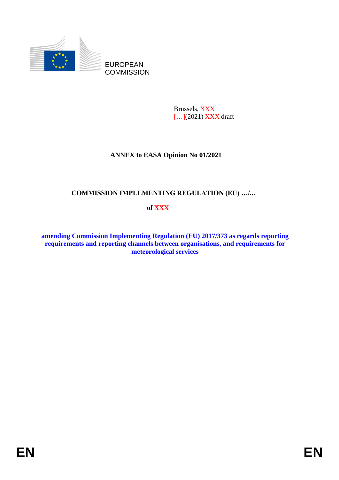

Brussels, XXX [...](2021) **XXX** draft

# **ANNEX to EASA Opinion No 01/2021**

# **COMMISSION IMPLEMENTING REGULATION (EU) …/...**

# **of XXX**

**amending Commission Implementing Regulation (EU) 2017/373 as regards reporting requirements and reporting channels between organisations, and requirements for meteorological services**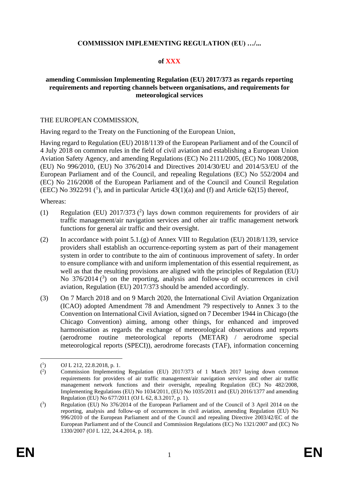# **COMMISSION IMPLEMENTING REGULATION (EU) …/...**

#### **of XXX**

#### **amending Commission Implementing Regulation (EU) 2017/373 as regards reporting requirements and reporting channels between organisations, and requirements for meteorological services**

#### THE EUROPEAN COMMISSION,

Having regard to the Treaty on the Functioning of the European Union,

Having regard to Regulation (EU) 2018/1139 of the European Parliament and of the Council of 4 July 2018 on common rules in the field of civil aviation and establishing a European Union Aviation Safety Agency, and amending Regulations (EC) No 2111/2005, (EC) No 1008/2008, (EU) No 996/2010, (EU) No 376/2014 and Directives 2014/30/EU and 2014/53/EU of the European Parliament and of the Council, and repealing Regulations (EC) No 552/2004 and (EC) No 216/2008 of the European Parliament and of the Council and Council Regulation (EEC) No 3922/91  $(1)$ , and in particular Article 43(1)(a) and (f) and Article 62(15) thereof,

Whereas:

- (1) Regulation (EU)  $2017/373$  (<sup>2</sup>) lays down common requirements for providers of air traffic management/air navigation services and other air traffic management network functions for general air traffic and their oversight.
- (2) In accordance with point 5.1.(g) of Annex VIII to Regulation (EU) 2018/1139, service providers shall establish an occurrence-reporting system as part of their management system in order to contribute to the aim of continuous improvement of safety. In order to ensure compliance with and uniform implementation of this essential requirement, as well as that the resulting provisions are aligned with the principles of Regulation (EU) No  $376/2014$  (<sup>3</sup>) on the reporting, analysis and follow-up of occurrences in civil aviation, Regulation (EU) 2017/373 should be amended accordingly.
- (3) On 7 March 2018 and on 9 March 2020, the International Civil Aviation Organization (ICAO) adopted Amendment 78 and Amendment 79 respectively to Annex 3 to the Convention on International Civil Aviation, signed on 7 December 1944 in Chicago (the Chicago Convention) aiming, among other things, for enhanced and improved harmonisation as regards the exchange of meteorological observations and reports (aerodrome routine meteorological reports (METAR) / aerodrome special meteorological reports (SPECI)), aerodrome forecasts (TAF), information concerning

 $(^1$ ) OJ L 212, 22.8.2018, p. 1.

 $($ <sup>2</sup> ) Commission Implementing Regulation (EU) 2017/373 of 1 March 2017 laying down common requirements for providers of air traffic management/air navigation services and other air traffic management network functions and their oversight, repealing Regulation (EC) No 482/2008, Implementing Regulations (EU) No 1034/2011, (EU) No 1035/2011 and (EU) 2016/1377 and amending Regulation (EU) No 677/2011 (OJ L 62, 8.3.2017, p. 1).

 $(3)$ ) Regulation (EU) No 376/2014 of the European Parliament and of the Council of 3 April 2014 on the reporting, analysis and follow-up of occurrences in civil aviation, amending Regulation (EU) No 996/2010 of the European Parliament and of the Council and repealing Directive 2003/42/EC of the European Parliament and of the Council and Commission Regulations (EC) No 1321/2007 and (EC) No 1330/2007 (OJ L 122, 24.4.2014, p. 18).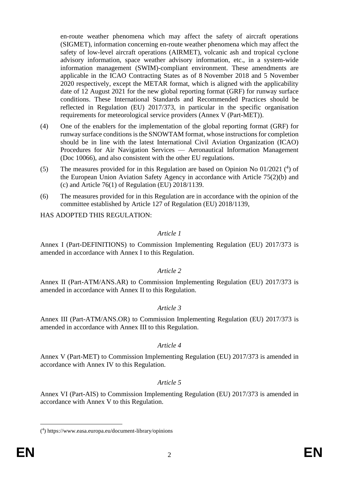en-route weather phenomena which may affect the safety of aircraft operations (SIGMET), information concerning en-route weather phenomena which may affect the safety of low-level aircraft operations (AIRMET), volcanic ash and tropical cyclone advisory information, space weather advisory information, etc., in a system-wide information management (SWIM)-compliant environment. These amendments are applicable in the ICAO Contracting States as of 8 November 2018 and 5 November 2020 respectively, except the METAR format, which is aligned with the applicability date of 12 August 2021 for the new global reporting format (GRF) for runway surface conditions. These International Standards and Recommended Practices should be reflected in Regulation (EU) 2017/373, in particular in the specific organisation requirements for meteorological service providers (Annex V (Part-MET)).

- (4) One of the enablers for the implementation of the global reporting format (GRF) for runway surface conditions is the SNOWTAM format, whose instructions for completion should be in line with the latest International Civil Aviation Organization (ICAO) Procedures for Air Navigation Services — Aeronautical Information Management (Doc 10066), and also consistent with the other EU regulations.
- (5) The measures provided for in this Regulation are based on Opinion No 01/2021 ( 4 ) of the European Union Aviation Safety Agency in accordance with Article 75(2)(b) and (c) and Article  $76(1)$  of Regulation (EU)  $2018/1139$ .
- (6) The measures provided for in this Regulation are in accordance with the opinion of the committee established by Article 127 of Regulation (EU) 2018/1139,

HAS ADOPTED THIS REGULATION:

#### *Article 1*

Annex I (Part-DEFINITIONS) to Commission Implementing Regulation (EU) 2017/373 is amended in accordance with Annex I to this Regulation.

# *Article 2*

Annex II (Part-ATM/ANS.AR) to Commission Implementing Regulation (EU) 2017/373 is amended in accordance with Annex II to this Regulation.

# *Article 3*

Annex III (Part-ATM/ANS.OR) to Commission Implementing Regulation (EU) 2017/373 is amended in accordance with Annex III to this Regulation.

# *Article 4*

Annex V (Part-MET) to Commission Implementing Regulation (EU) 2017/373 is amended in accordance with Annex IV to this Regulation.

# *Article 5*

Annex VI (Part-AIS) to Commission Implementing Regulation (EU) 2017/373 is amended in accordance with Annex V to this Regulation.

<sup>(</sup> 4 ) https://www.easa.europa.eu/document-library/opinions